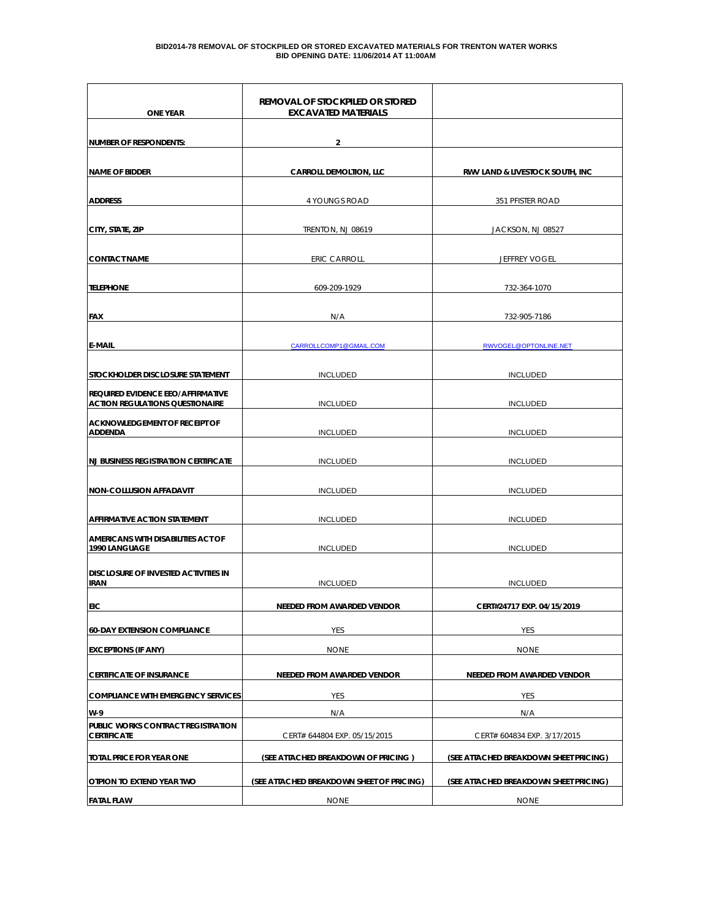#### **BID2014-78 REMOVAL OF STOCKPILED OR STORED EXCAVATED MATERIALS FOR TRENTON WATER WORKS BID OPENING DATE: 11/06/2014 AT 11:00AM**

| <b>ONE YEAR</b>                                                                    | REMOVAL OF STOCKPILED OR STORED<br><b>EXCAVATED MATERIALS</b> |                                        |
|------------------------------------------------------------------------------------|---------------------------------------------------------------|----------------------------------------|
| NUMBER OF RESPONDENTS:                                                             | 2                                                             |                                        |
| <b>NAME OF BIDDER</b>                                                              | <b>CARROLL DEMOLTION, LLC</b>                                 | RWV LAND & LIVESTOCK SOUTH, INC        |
| <b>ADDRESS</b>                                                                     | 4 YOUNGS ROAD                                                 | 351 PFISTER ROAD                       |
| CITY, STATE, ZIP                                                                   | TRENTON, NJ 08619                                             | JACKSON, NJ 08527                      |
| <b>CONTACT NAME</b>                                                                | <b>ERIC CARROLL</b>                                           | <b>JEFFREY VOGEL</b>                   |
| <b>TELEPHONE</b>                                                                   | 609-209-1929                                                  | 732-364-1070                           |
| <b>FAX</b>                                                                         | N/A                                                           | 732-905-7186                           |
| <b>E-MAIL</b>                                                                      | CARROLLCOMP1@GMAIL.COM                                        | RWVOGEL@OPTONLINE.NET                  |
| STOCKHOLDER DISCLOSURE STATEMENT                                                   | <b>INCLUDED</b>                                               | <b>INCLUDED</b>                        |
| <b>REQUIRED EVIDENCE EEO/AFFIRMATIVE</b><br><b>ACTION REGULATIONS QUESTIONAIRE</b> | <b>INCLUDED</b>                                               | <b>INCLUDED</b>                        |
| <b>ACKNOWLEDGEMENT OF RECEIPT OF</b><br><b>ADDENDA</b>                             | <b>INCLUDED</b>                                               | <b>INCLUDED</b>                        |
| <b>NJ BUSINESS REGISTRATION CERTIFICATE</b>                                        | <b>INCLUDED</b>                                               | <b>INCLUDED</b>                        |
| <b>NON-COLLUSION AFFADAVIT</b>                                                     | <b>INCLUDED</b>                                               | <b>INCLUDED</b>                        |
| AFFIRMATIVE ACTION STATEMENT                                                       | <b>INCLUDED</b>                                               | <b>INCLUDED</b>                        |
| AMERICANS WITH DISABILITIES ACT OF<br>1990 LANGUAGE                                | <b>INCLUDED</b>                                               | <b>INCLUDED</b>                        |
| <b>DISCLOSURE OF INVESTED ACTIVITIES IN</b><br><b>IRAN</b>                         | <b>INCLUDED</b>                                               | <b>INCLUDED</b>                        |
| EIC                                                                                | NEEDED FROM AWARDED VENDOR                                    | CERT#24717 EXP. 04/15/2019             |
| <b>60-DAY EXTENSION COMPLIANCE</b>                                                 | YES                                                           | YES                                    |
| <b>EXCEPTIONS (IF ANY)</b>                                                         | <b>NONE</b>                                                   | <b>NONE</b>                            |
| <b>CERTIFICATE OF INSURANCE</b>                                                    | NEEDED FROM AWARDED VENDOR                                    | NEEDED FROM AWARDED VENDOR             |
| <b>COMPLIANCE WITH EMERGENCY SERVICES</b>                                          | YES                                                           | <b>YES</b>                             |
| W-9                                                                                | N/A                                                           | N/A                                    |
| PUBLIC WORKS CONTRACT REGISTRATION<br><b>CERTIFICATE</b>                           | CERT# 644804 EXP. 05/15/2015                                  | CERT# 604834 EXP. 3/17/2015            |
| TOTAL PRICE FOR YEAR ONE                                                           | (SEE ATTACHED BREAKDOWN OF PRICING)                           | (SEE ATTACHED BREAKDOWN SHEET PRICING) |
| OTPION TO EXTEND YEAR TWO                                                          | (SEE ATTACHED BREAKDOWN SHEET OF PRICING)                     | (SEE ATTACHED BREAKDOWN SHEET PRICING) |
| <b>FATAL FLAW</b>                                                                  | <b>NONE</b>                                                   | <b>NONE</b>                            |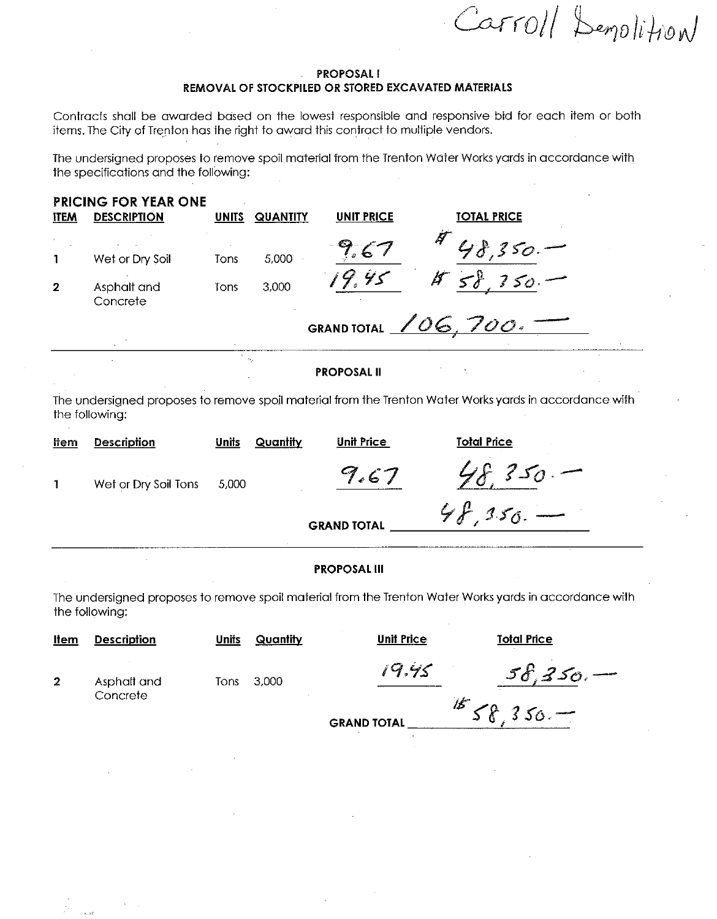Carroll Demolition

#### **PROPOSALI** REMOVAL OF STOCKPILED OR STORED EXCAVATED MATERIALS

Contracts shall be awarded based on the lowest responsible and responsive bid for each item or both items. The City of Trenton has the right to award this contract to multiple vendors.

The undersigned proposes to remove spoil material from the Trenton Water Works yards in accordance with the specifications and the following:

| <b>ITEM</b>  | <b>PRICING FOR YEAR ONE</b><br><b>DESCRIPTION</b> | <b>UNITS</b> | <b>QUANTITY</b>             | <b>UNIT PRICE</b>  | <b>TOTAL PRICE</b>          |  |
|--------------|---------------------------------------------------|--------------|-----------------------------|--------------------|-----------------------------|--|
|              | Wet or Dry Soil                                   | <b>Tons</b>  | 5,000                       |                    | B                           |  |
| $\mathbf{2}$ | Asphalt and<br>Concrete                           | Tons         | 3,000                       | ىيى                | $\boldsymbol{\beta}$<br>50. |  |
|              |                                                   |              |                             | <b>GRAND TOTAL</b> | 700.                        |  |
|              |                                                   |              | $\mathcal{M}_{\mathcal{C}}$ | <b>PROPOSAL II</b> |                             |  |

The undersigned proposes to remove spoil material from the Trenton Water Works yards in accordance with the following:

| 9.61<br>Wet or Dry Soil Tons<br>5.000<br><b>GRAND TOTAL</b> | <b>Total Price</b> |
|-------------------------------------------------------------|--------------------|
|                                                             | $350 -$            |
|                                                             | $48.150.$ -        |

#### **PROPOSAL III**

The undersigned proposes to remove spoil material from the Trenton Water Works yards in accordance with the following:

| <u>Item</u>    | <b>Description</b>      | <b>Units</b> | Quantity | Unit Price         | <b>Total Price</b> |
|----------------|-------------------------|--------------|----------|--------------------|--------------------|
| $\overline{2}$ | Asphalt and<br>Concrete | Tons         | 3.000    | 19.95              | 58,350.            |
|                |                         |              |          | <b>GRAND TOTAL</b> | $78.350 -$         |

 $\lambda$  ,  $\lambda$  is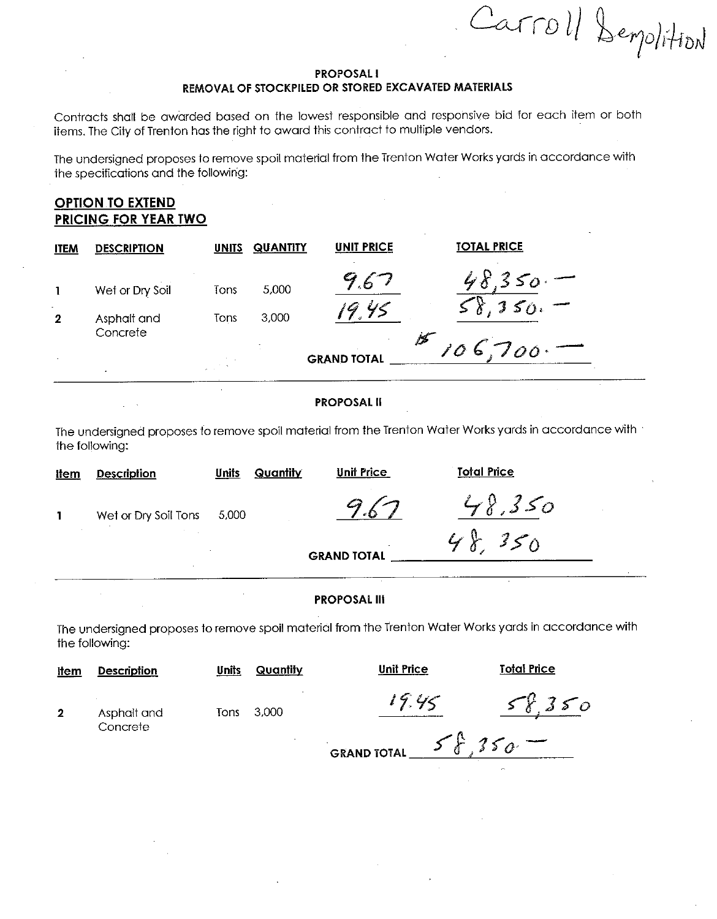Carroll Semplition

#### **PROPOSALI** REMOVAL OF STOCKPILED OR STORED EXCAVATED MATERIALS

Contracts shall be awarded based on the lowest responsible and responsive bid for each item or both items. The City of Trenton has the right to award this contract to multiple vendors.

The undersigned proposes to remove spoil material from the Trenton Water Works yards in accordance with the specifications and the following:

# **OPTION TO EXTEND** PRICING FOR YEAR TWO

| <b>ITEM</b>  | <b>DESCRIPTION</b>             | <b>UNITS</b> | <b>QUANTITY</b> | <b>UNIT PRICE</b>  | <b>TOTAL PRICE</b> |
|--------------|--------------------------------|--------------|-----------------|--------------------|--------------------|
| $\mathbf{2}$ | Wet or Dry Soil<br>Asphalt and | Tons<br>Tons | 5,000<br>3,000  | ' .6<br>4<         | $\sqrt{350}$       |
| $\sim$       | Concrete<br>$\sim$             |              |                 | <b>GRAND TOTAL</b> | /2 -<br>106,700.   |

**PROPOSAL II** 

The undersigned proposes to remove spoil material from the Trenton Water Works yards in accordance with the following:

| <u>Item</u> | <b>Description</b>   | Units | Quantity | <b>Unit Price</b>  | <b>Total Price</b> |  |
|-------------|----------------------|-------|----------|--------------------|--------------------|--|
|             | Wet or Dry Soil Tons | 5,000 |          |                    | 48.350             |  |
|             |                      |       |          | <b>GRAND TOTAL</b> | 48,350             |  |

#### **PROPOSAL III**

The undersigned proposes to remove spoil material from the Trenton Water Works yards in accordance with the following:

| <u>item</u>             | <b>Description</b>      | Units | Quantity | <b>Unit Price</b>  | <b>Total Price</b>                        |
|-------------------------|-------------------------|-------|----------|--------------------|-------------------------------------------|
| $\overline{\mathbf{2}}$ | Asphalt and<br>Concrete | Tons  | 3,000    | 19.45              | 350                                       |
|                         |                         |       |          | <b>GRAND TOTAL</b> | $350 =$<br>$\mathcal{F}_{\boldsymbol{f}}$ |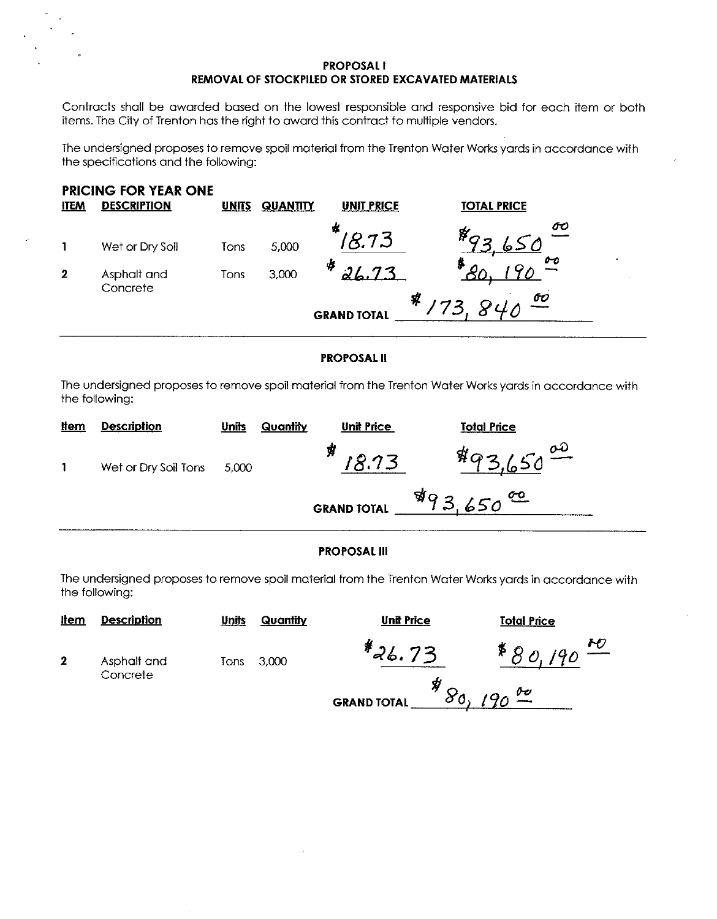### **PROPOSAL I** REMOVAL OF STOCKPILED OR STORED EXCAVATED MATERIALS

Contracts shall be awarded based on the lowest responsible and responsive bid for each item or both items. The City of Trenton has the right to award this contract to multiple vendors.

The undersigned proposes to remove spoil material from the Trenton Water Works yards in accordance with the specifications and the following:



#### **PROPOSAL II**

The undersigned proposes to remove spoil material from the Trenton Water Works yards in accordance with the following:

| <u>Item</u> | <b>Description</b>   | <b>Units</b> | Quantity           | <b>Unit Price</b> | <b>Total Price</b>      |
|-------------|----------------------|--------------|--------------------|-------------------|-------------------------|
|             | Wet or Dry Soil Tons | 5,000        |                    | 18.73             | $493.650^{00}$<br>ιo    |
|             |                      |              | <b>GRAND TOTAL</b> |                   | $493,650$ <sup>00</sup> |

#### **PROPOSAL III**

The undersigned proposes to remove spoil material from the Trenton Water Works yards in accordance with the following:

| <u>Item</u> | <b>Description</b> | <u>Units</u> |
|-------------|--------------------|--------------|
| -2          | Asphalt and        | Tons         |

Concrete

Quantity

**Unit Price** 

**Total Price** 

3.000 Tons

 $*$ 26.73

 $*_{80,190}$  or **GRAND TOTAL**